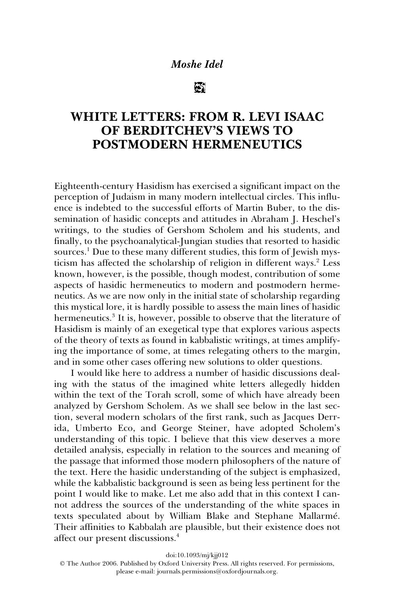## *Moshe Idel*

# $\mathbf{G}$

# **WHITE LETTERS: FROM R. LEVI ISAAC OF BERDITCHEV'S VIEWS TO POSTMODERN HERMENEUTICS**

Eighteenth-century Hasidism has exercised a significant impact on the perception of Judaism in many modern intellectual circles. This influence is indebted to the successful efforts of Martin Buber, to the dissemination of hasidic concepts and attitudes in Abraham J. Heschel's writings, to the studies of Gershom Scholem and his students, and finally, to the psychoanalytical-Jungian studies that resorted to hasidic sources.<sup>1</sup> Due to these many different studies, this form of Jewish mysticism has affected the scholarship of religion in different ways.<sup>2</sup> Less known, however, is the possible, though modest, contribution of some aspects of hasidic hermeneutics to modern and postmodern hermeneutics. As we are now only in the initial state of scholarship regarding this mystical lore, it is hardly possible to assess the main lines of hasidic hermeneutics.<sup>3</sup> It is, however, possible to observe that the literature of Hasidism is mainly of an exegetical type that explores various aspects of the theory of texts as found in kabbalistic writings, at times amplifying the importance of some, at times relegating others to the margin, and in some other cases offering new solutions to older questions.

I would like here to address a number of hasidic discussions dealing with the status of the imagined white letters allegedly hidden within the text of the Torah scroll, some of which have already been analyzed by Gershom Scholem. As we shall see below in the last section, several modern scholars of the first rank, such as Jacques Derrida, Umberto Eco, and George Steiner, have adopted Scholem's understanding of this topic. I believe that this view deserves a more detailed analysis, especially in relation to the sources and meaning of the passage that informed those modern philosophers of the nature of the text. Here the hasidic understanding of the subject is emphasized, while the kabbalistic background is seen as being less pertinent for the point I would like to make. Let me also add that in this context I cannot address the sources of the understanding of the white spaces in texts speculated about by William Blake and Stephane Mallarmé. Their affinities to Kabbalah are plausible, but their existence does not affect our present discussions.<sup>4</sup>

doi:10.1093/mj/kjj012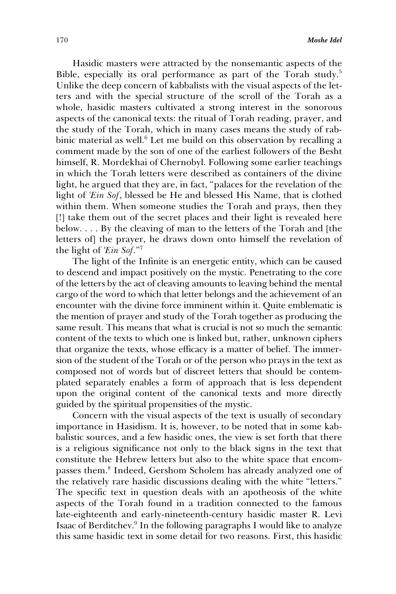Hasidic masters were attracted by the nonsemantic aspects of the Bible, especially its oral performance as part of the Torah study.<sup>5</sup> Unlike the deep concern of kabbalists with the visual aspects of the letters and with the special structure of the scroll of the Torah as a whole, hasidic masters cultivated a strong interest in the sonorous aspects of the canonical texts: the ritual of Torah reading, prayer, and the study of the Torah, which in many cases means the study of rabbinic material as well.<sup>6</sup> Let me build on this observation by recalling a comment made by the son of one of the earliest followers of the Besht himself, R. Mordekhai of Chernobyl. Following some earlier teachings in which the Torah letters were described as containers of the divine light, he argued that they are, in fact, "palaces for the revelation of the light of *'Ein Sof*, blessed be He and blessed His Name, that is clothed within them. When someone studies the Torah and prays, then they [!] take them out of the secret places and their light is revealed here below. . . . By the cleaving of man to the letters of the Torah and [the letters of] the prayer, he draws down onto himself the revelation of the light of *'Ein Sof*."7

The light of the Infinite is an energetic entity, which can be caused to descend and impact positively on the mystic. Penetrating to the core of the letters by the act of cleaving amounts to leaving behind the mental cargo of the word to which that letter belongs and the achievement of an encounter with the divine force imminent within it. Quite emblematic is the mention of prayer and study of the Torah together as producing the same result. This means that what is crucial is not so much the semantic content of the texts to which one is linked but, rather, unknown ciphers that organize the texts, whose efficacy is a matter of belief. The immersion of the student of the Torah or of the person who prays in the text as composed not of words but of discreet letters that should be contemplated separately enables a form of approach that is less dependent upon the original content of the canonical texts and more directly guided by the spiritual propensities of the mystic.

Concern with the visual aspects of the text is usually of secondary importance in Hasidism. It is, however, to be noted that in some kabbalistic sources, and a few hasidic ones, the view is set forth that there is a religious significance not only to the black signs in the text that constitute the Hebrew letters but also to the white space that encompasses them.<sup>8</sup> Indeed, Gershom Scholem has already analyzed one of the relatively rare hasidic discussions dealing with the white "letters." The specific text in question deals with an apotheosis of the white aspects of the Torah found in a tradition connected to the famous late-eighteenth and early-nineteenth-century hasidic master R. Levi Isaac of Berditchev.<sup>9</sup> In the following paragraphs I would like to analyze this same hasidic text in some detail for two reasons. First, this hasidic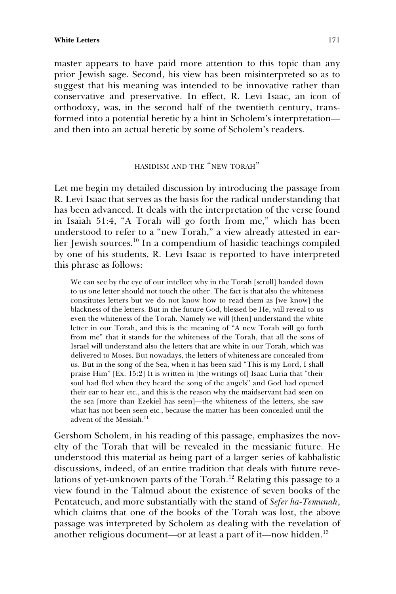master appears to have paid more attention to this topic than any prior Jewish sage. Second, his view has been misinterpreted so as to suggest that his meaning was intended to be innovative rather than conservative and preservative. In effect, R. Levi Isaac, an icon of orthodoxy, was, in the second half of the twentieth century, transformed into a potential heretic by a hint in Scholem's interpretation and then into an actual heretic by some of Scholem's readers.

## HASIDISM AND THE "NEW TORAH"

Let me begin my detailed discussion by introducing the passage from R. Levi Isaac that serves as the basis for the radical understanding that has been advanced. It deals with the interpretation of the verse found in Isaiah 51:4, "A Torah will go forth from me," which has been understood to refer to a "new Torah," a view already attested in earlier Jewish sources.10 In a compendium of hasidic teachings compiled by one of his students, R. Levi Isaac is reported to have interpreted this phrase as follows:

We can see by the eye of our intellect why in the Torah [scroll] handed down to us one letter should not touch the other. The fact is that also the whiteness constitutes letters but we do not know how to read them as [we know] the blackness of the letters. But in the future God, blessed be He, will reveal to us even the whiteness of the Torah. Namely we will [then] understand the white letter in our Torah, and this is the meaning of "A new Torah will go forth from me" that it stands for the whiteness of the Torah, that all the sons of Israel will understand also the letters that are white in our Torah, which was delivered to Moses. But nowadays, the letters of whiteness are concealed from us. But in the song of the Sea, when it has been said "This is my Lord, I shall praise Him" [Ex. 15:2] It is written in [the writings of] Isaac Luria that "their soul had fled when they heard the song of the angels" and God had opened their ear to hear etc., and this is the reason why the maidservant had seen on the sea [more than Ezekiel has seen]—the whiteness of the letters, she saw what has not been seen etc., because the matter has been concealed until the advent of the Messiah.<sup>11</sup>

Gershom Scholem, in his reading of this passage, emphasizes the novelty of the Torah that will be revealed in the messianic future. He understood this material as being part of a larger series of kabbalistic discussions, indeed, of an entire tradition that deals with future revelations of yet-unknown parts of the Torah.<sup>12</sup> Relating this passage to a view found in the Talmud about the existence of seven books of the Pentateuch, and more substantially with the stand of *Sefer ha-Temunah*, which claims that one of the books of the Torah was lost, the above passage was interpreted by Scholem as dealing with the revelation of another religious document—or at least a part of it—now hidden.<sup>13</sup>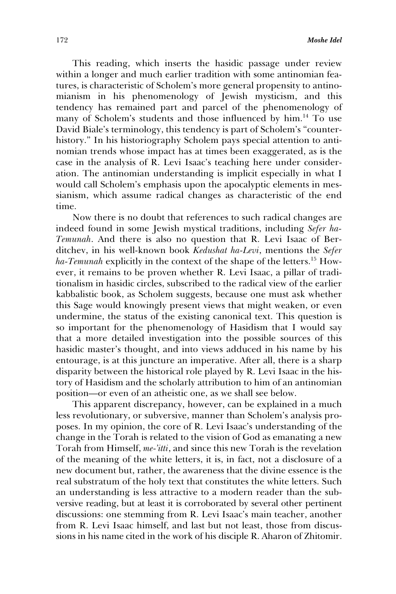This reading, which inserts the hasidic passage under review within a longer and much earlier tradition with some antinomian features, is characteristic of Scholem's more general propensity to antinomianism in his phenomenology of Jewish mysticism, and this tendency has remained part and parcel of the phenomenology of many of Scholem's students and those influenced by him.<sup>14</sup> To use David Biale's terminology, this tendency is part of Scholem's "counterhistory." In his historiography Scholem pays special attention to antinomian trends whose impact has at times been exaggerated, as is the case in the analysis of R. Levi Isaac's teaching here under consideration. The antinomian understanding is implicit especially in what I would call Scholem's emphasis upon the apocalyptic elements in messianism, which assume radical changes as characteristic of the end time.

Now there is no doubt that references to such radical changes are indeed found in some Jewish mystical traditions, including *Sefer ha-Temunah*. And there is also no question that R. Levi Isaac of Berditchev, in his well-known book *Kedushat ha-Levi*, mentions the *Sefer ha-Temunah* explicitly in the context of the shape of the letters.<sup>15</sup> However, it remains to be proven whether R. Levi Isaac, a pillar of traditionalism in hasidic circles, subscribed to the radical view of the earlier kabbalistic book, as Scholem suggests, because one must ask whether this Sage would knowingly present views that might weaken, or even undermine, the status of the existing canonical text. This question is so important for the phenomenology of Hasidism that I would say that a more detailed investigation into the possible sources of this hasidic master's thought, and into views adduced in his name by his entourage, is at this juncture an imperative. After all, there is a sharp disparity between the historical role played by R. Levi Isaac in the history of Hasidism and the scholarly attribution to him of an antinomian position—or even of an atheistic one, as we shall see below.

This apparent discrepancy, however, can be explained in a much less revolutionary, or subversive, manner than Scholem's analysis proposes. In my opinion, the core of R. Levi Isaac's understanding of the change in the Torah is related to the vision of God as emanating a new Torah from Himself, *me-'itti*, and since this new Torah is the revelation of the meaning of the white letters, it is, in fact, not a disclosure of a new document but, rather, the awareness that the divine essence is the real substratum of the holy text that constitutes the white letters. Such an understanding is less attractive to a modern reader than the subversive reading, but at least it is corroborated by several other pertinent discussions: one stemming from R. Levi Isaac's main teacher, another from R. Levi Isaac himself, and last but not least, those from discussions in his name cited in the work of his disciple R. Aharon of Zhitomir.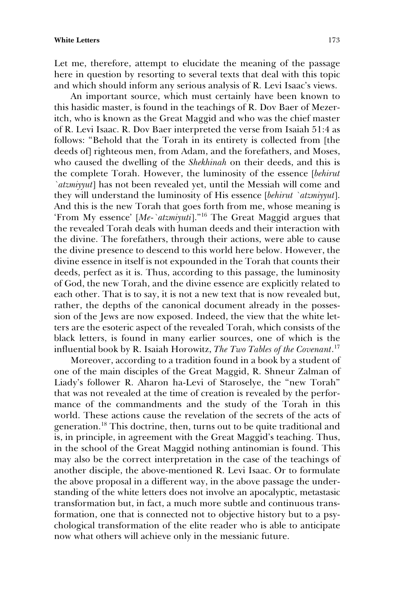Let me, therefore, attempt to elucidate the meaning of the passage here in question by resorting to several texts that deal with this topic and which should inform any serious analysis of R. Levi Isaac's views.

An important source, which must certainly have been known to this hasidic master, is found in the teachings of R. Dov Baer of Mezeritch, who is known as the Great Maggid and who was the chief master of R. Levi Isaac. R. Dov Baer interpreted the verse from Isaiah 51:4 as follows: "Behold that the Torah in its entirety is collected from [the deeds of] righteous men, from Adam, and the forefathers, and Moses, who caused the dwelling of the *Shekhinah* on their deeds, and this is the complete Torah. However, the luminosity of the essence [*behirut `atzmiyyut*] has not been revealed yet, until the Messiah will come and they will understand the luminosity of His essence [*behirut `atzmiyyut*]. And this is the new Torah that goes forth from me, whose meaning is 'From My essence' [*Me-`atzmiyuti*]."16 The Great Maggid argues that the revealed Torah deals with human deeds and their interaction with the divine. The forefathers, through their actions, were able to cause the divine presence to descend to this world here below. However, the divine essence in itself is not expounded in the Torah that counts their deeds, perfect as it is. Thus, according to this passage, the luminosity of God, the new Torah, and the divine essence are explicitly related to each other. That is to say, it is not a new text that is now revealed but, rather, the depths of the canonical document already in the possession of the Jews are now exposed. Indeed, the view that the white letters are the esoteric aspect of the revealed Torah, which consists of the black letters, is found in many earlier sources, one of which is the influential book by R. Isaiah Horowitz, *The Two Tables of the Covenant*. 17

Moreover, according to a tradition found in a book by a student of one of the main disciples of the Great Maggid, R. Shneur Zalman of Liady's follower R. Aharon ha-Levi of Staroselye, the "new Torah" that was not revealed at the time of creation is revealed by the performance of the commandments and the study of the Torah in this world. These actions cause the revelation of the secrets of the acts of generation.18 This doctrine, then, turns out to be quite traditional and is, in principle, in agreement with the Great Maggid's teaching. Thus, in the school of the Great Maggid nothing antinomian is found. This may also be the correct interpretation in the case of the teachings of another disciple, the above-mentioned R. Levi Isaac. Or to formulate the above proposal in a different way, in the above passage the understanding of the white letters does not involve an apocalyptic, metastasic transformation but, in fact, a much more subtle and continuous transformation, one that is connected not to objective history but to a psychological transformation of the elite reader who is able to anticipate now what others will achieve only in the messianic future.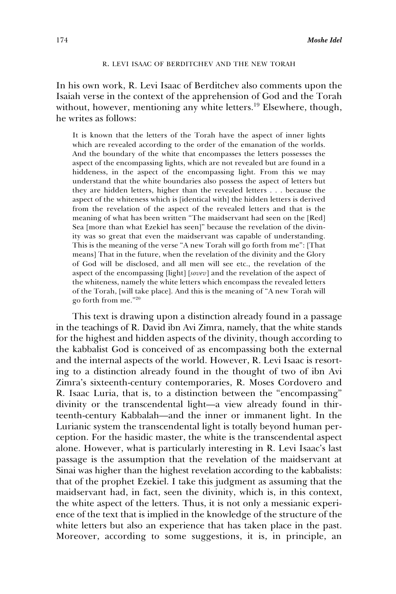In his own work, R. Levi Isaac of Berditchev also comments upon the Isaiah verse in the context of the apprehension of God and the Torah without, however, mentioning any white letters.<sup>19</sup> Elsewhere, though, he writes as follows:

It is known that the letters of the Torah have the aspect of inner lights which are revealed according to the order of the emanation of the worlds. And the boundary of the white that encompasses the letters possesses the aspect of the encompassing lights, which are not revealed but are found in a hiddeness, in the aspect of the encompassing light. From this we may understand that the white boundaries also possess the aspect of letters but they are hidden letters, higher than the revealed letters . . . because the aspect of the whiteness which is [identical with] the hidden letters is derived from the revelation of the aspect of the revealed letters and that is the meaning of what has been written "The maidservant had seen on the [Red] Sea [more than what Ezekiel has seen]" because the revelation of the divinity was so great that even the maidservant was capable of understanding. This is the meaning of the verse "A new Torah will go forth from me": [That means] That in the future, when the revelation of the divinity and the Glory of God will be disclosed, and all men will see etc., the revelation of the aspect of the encompassing [light] [*sovev*] and the revelation of the aspect of the whiteness, namely the white letters which encompass the revealed letters of the Torah, [will take place]. And this is the meaning of "A new Torah will go forth from me."<sup>20</sup>

This text is drawing upon a distinction already found in a passage in the teachings of R. David ibn Avi Zimra, namely, that the white stands for the highest and hidden aspects of the divinity, though according to the kabbalist God is conceived of as encompassing both the external and the internal aspects of the world. However, R. Levi Isaac is resorting to a distinction already found in the thought of two of ibn Avi Zimra's sixteenth-century contemporaries, R. Moses Cordovero and R. Isaac Luria, that is, to a distinction between the "encompassing" divinity or the transcendental light—a view already found in thirteenth-century Kabbalah—and the inner or immanent light. In the Lurianic system the transcendental light is totally beyond human perception. For the hasidic master, the white is the transcendental aspect alone. However, what is particularly interesting in R. Levi Isaac's last passage is the assumption that the revelation of the maidservant at Sinai was higher than the highest revelation according to the kabbalists: that of the prophet Ezekiel. I take this judgment as assuming that the maidservant had, in fact, seen the divinity, which is, in this context, the white aspect of the letters. Thus, it is not only a messianic experience of the text that is implied in the knowledge of the structure of the white letters but also an experience that has taken place in the past. Moreover, according to some suggestions, it is, in principle, an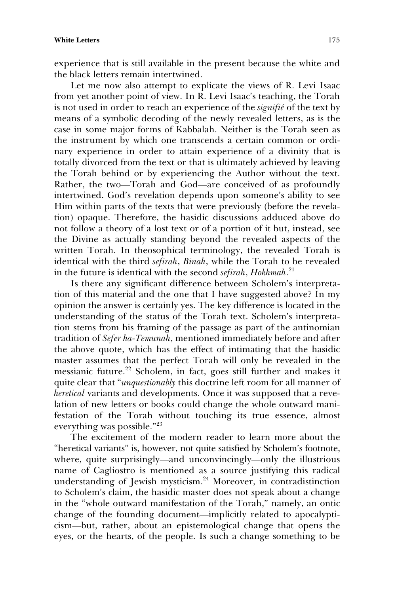experience that is still available in the present because the white and the black letters remain intertwined.

Let me now also attempt to explicate the views of R. Levi Isaac from yet another point of view. In R. Levi Isaac's teaching, the Torah is not used in order to reach an experience of the *signifié* of the text by means of a symbolic decoding of the newly revealed letters, as is the case in some major forms of Kabbalah. Neither is the Torah seen as the instrument by which one transcends a certain common or ordinary experience in order to attain experience of a divinity that is totally divorced from the text or that is ultimately achieved by leaving the Torah behind or by experiencing the Author without the text. Rather, the two—Torah and God—are conceived of as profoundly intertwined. God's revelation depends upon someone's ability to see Him within parts of the texts that were previously (before the revelation) opaque. Therefore, the hasidic discussions adduced above do not follow a theory of a lost text or of a portion of it but, instead, see the Divine as actually standing beyond the revealed aspects of the written Torah. In theosophical terminology, the revealed Torah is identical with the third *sefirah*, *Binah*, while the Torah to be revealed in the future is identical with the second *sefirah*, *Hokhmah*. 21

Is there any significant difference between Scholem's interpretation of this material and the one that I have suggested above? In my opinion the answer is certainly yes. The key difference is located in the understanding of the status of the Torah text. Scholem's interpretation stems from his framing of the passage as part of the antinomian tradition of *Sefer ha-Temunah*, mentioned immediately before and after the above quote, which has the effect of intimating that the hasidic master assumes that the perfect Torah will only be revealed in the messianic future.<sup>22</sup> Scholem, in fact, goes still further and makes it quite clear that "*unquestionably* this doctrine left room for all manner of *heretical* variants and developments. Once it was supposed that a revelation of new letters or books could change the whole outward manifestation of the Torah without touching its true essence, almost everything was possible."<sup>23</sup>

The excitement of the modern reader to learn more about the "heretical variants" is, however, not quite satisfied by Scholem's footnote, where, quite surprisingly—and unconvincingly—only the illustrious name of Cagliostro is mentioned as a source justifying this radical understanding of Jewish mysticism.<sup>24</sup> Moreover, in contradistinction to Scholem's claim, the hasidic master does not speak about a change in the "whole outward manifestation of the Torah," namely, an ontic change of the founding document—implicitly related to apocalypticism—but, rather, about an epistemological change that opens the eyes, or the hearts, of the people. Is such a change something to be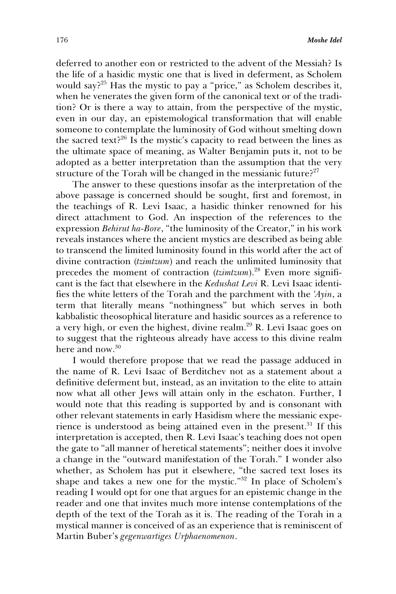deferred to another eon or restricted to the advent of the Messiah? Is the life of a hasidic mystic one that is lived in deferment, as Scholem would say?<sup>25</sup> Has the mystic to pay a "price," as Scholem describes it, when he venerates the given form of the canonical text or of the tradition? Or is there a way to attain, from the perspective of the mystic, even in our day, an epistemological transformation that will enable someone to contemplate the luminosity of God without smelting down the sacred text?<sup>26</sup> Is the mystic's capacity to read between the lines as the ultimate space of meaning, as Walter Benjamin puts it, not to be adopted as a better interpretation than the assumption that the very structure of the Torah will be changed in the messianic future?<sup>27</sup>

The answer to these questions insofar as the interpretation of the above passage is concerned should be sought, first and foremost, in the teachings of R. Levi Isaac, a hasidic thinker renowned for his direct attachment to God. An inspection of the references to the expression *Behirut ha-Bore*, "the luminosity of the Creator," in his work reveals instances where the ancient mystics are described as being able to transcend the limited luminosity found in this world after the act of divine contraction (*tzimtzum*) and reach the unlimited luminosity that precedes the moment of contraction (*tzimtzum*).28 Even more significant is the fact that elsewhere in the *Kedushat Levi* R. Levi Isaac identifies the white letters of the Torah and the parchment with the *'Ayin*, a term that literally means "nothingness" but which serves in both kabbalistic theosophical literature and hasidic sources as a reference to a very high, or even the highest, divine realm.<sup>29</sup> R. Levi Isaac goes on to suggest that the righteous already have access to this divine realm here and now.<sup>30</sup>

I would therefore propose that we read the passage adduced in the name of R. Levi Isaac of Berditchev not as a statement about a definitive deferment but, instead, as an invitation to the elite to attain now what all other Jews will attain only in the eschaton. Further, I would note that this reading is supported by and is consonant with other relevant statements in early Hasidism where the messianic experience is understood as being attained even in the present.<sup>31</sup> If this interpretation is accepted, then R. Levi Isaac's teaching does not open the gate to "all manner of heretical statements"; neither does it involve a change in the "outward manifestation of the Torah." I wonder also whether, as Scholem has put it elsewhere, "the sacred text loses its shape and takes a new one for the mystic."32 In place of Scholem's reading I would opt for one that argues for an epistemic change in the reader and one that invites much more intense contemplations of the depth of the text of the Torah as it is. The reading of the Torah in a mystical manner is conceived of as an experience that is reminiscent of Martin Buber's *gegenwartiges Urphaenomenon*.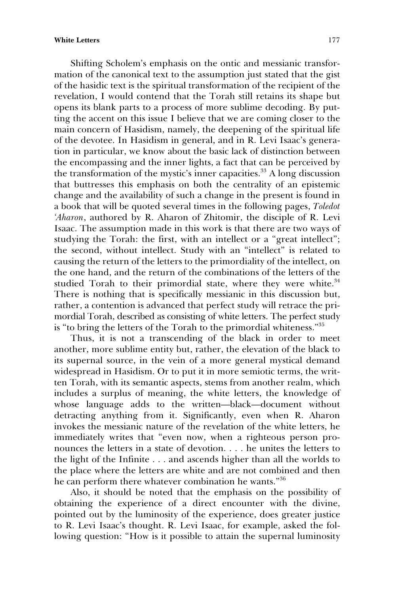Shifting Scholem's emphasis on the ontic and messianic transformation of the canonical text to the assumption just stated that the gist of the hasidic text is the spiritual transformation of the recipient of the revelation, I would contend that the Torah still retains its shape but opens its blank parts to a process of more sublime decoding. By putting the accent on this issue I believe that we are coming closer to the main concern of Hasidism, namely, the deepening of the spiritual life of the devotee. In Hasidism in general, and in R. Levi Isaac's generation in particular, we know about the basic lack of distinction between the encompassing and the inner lights, a fact that can be perceived by the transformation of the mystic's inner capacities.<sup>33</sup> A long discussion that buttresses this emphasis on both the centrality of an epistemic change and the availability of such a change in the present is found in a book that will be quoted several times in the following pages, *Toledot 'Aharon*, authored by R. Aharon of Zhitomir, the disciple of R. Levi Isaac. The assumption made in this work is that there are two ways of studying the Torah: the first, with an intellect or a "great intellect"; the second, without intellect. Study with an "intellect" is related to causing the return of the letters to the primordiality of the intellect, on the one hand, and the return of the combinations of the letters of the studied Torah to their primordial state, where they were white.<sup>34</sup> There is nothing that is specifically messianic in this discussion but, rather, a contention is advanced that perfect study will retrace the primordial Torah, described as consisting of white letters. The perfect study is "to bring the letters of the Torah to the primordial whiteness."35

Thus, it is not a transcending of the black in order to meet another, more sublime entity but, rather, the elevation of the black to its supernal source, in the vein of a more general mystical demand widespread in Hasidism. Or to put it in more semiotic terms, the written Torah, with its semantic aspects, stems from another realm, which includes a surplus of meaning, the white letters, the knowledge of whose language adds to the written—black—document without detracting anything from it. Significantly, even when R. Aharon invokes the messianic nature of the revelation of the white letters, he immediately writes that "even now, when a righteous person pronounces the letters in a state of devotion. . . . he unites the letters to the light of the Infinite . . . and ascends higher than all the worlds to the place where the letters are white and are not combined and then he can perform there whatever combination he wants."36

Also, it should be noted that the emphasis on the possibility of obtaining the experience of a direct encounter with the divine, pointed out by the luminosity of the experience, does greater justice to R. Levi Isaac's thought. R. Levi Isaac, for example, asked the following question: "How is it possible to attain the supernal luminosity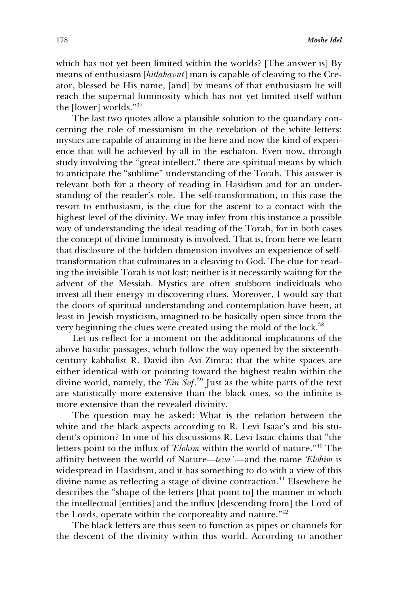which has not yet been limited within the worlds? [The answer is] By means of enthusiasm [*hitlahavut*] man is capable of cleaving to the Creator, blessed be His name, [and] by means of that enthusiasm he will reach the supernal luminosity which has not yet limited itself within the [lower] worlds."37

The last two quotes allow a plausible solution to the quandary concerning the role of messianism in the revelation of the white letters: mystics are capable of attaining in the here and now the kind of experience that will be achieved by all in the eschaton. Even now, through study involving the "great intellect," there are spiritual means by which to anticipate the "sublime" understanding of the Torah. This answer is relevant both for a theory of reading in Hasidism and for an understanding of the reader's role. The self-transformation, in this case the resort to enthusiasm, is the clue for the ascent to a contact with the highest level of the divinity. We may infer from this instance a possible way of understanding the ideal reading of the Torah, for in both cases the concept of divine luminosity is involved. That is, from here we learn that disclosure of the hidden dimension involves an experience of selftransformation that culminates in a cleaving to God. The clue for reading the invisible Torah is not lost; neither is it necessarily waiting for the advent of the Messiah. Mystics are often stubborn individuals who invest all their energy in discovering clues. Moreover, I would say that the doors of spiritual understanding and contemplation have been, at least in Jewish mysticism, imagined to be basically open since from the very beginning the clues were created using the mold of the lock.<sup>38</sup>

Let us reflect for a moment on the additional implications of the above hasidic passages, which follow the way opened by the sixteenthcentury kabbalist R. David ibn Avi Zimra: that the white spaces are either identical with or pointing toward the highest realm within the divine world, namely, the *'Ein Sof*. 39 Just as the white parts of the text are statistically more extensive than the black ones, so the infinite is more extensive than the revealed divinity.

The question may be asked: What is the relation between the white and the black aspects according to R. Levi Isaac's and his student's opinion? In one of his discussions R. Levi Isaac claims that "the letters point to the influx of *'Elohim* within the world of nature."40 The affinity between the world of Nature—*teva`—*and the name *'Elohim* is widespread in Hasidism, and it has something to do with a view of this divine name as reflecting a stage of divine contraction.<sup>41</sup> Elsewhere he describes the "shape of the letters [that point to] the manner in which the intellectual [entities] and the influx [descending from] the Lord of the Lords, operate within the corporeality and nature."42

The black letters are thus seen to function as pipes or channels for the descent of the divinity within this world. According to another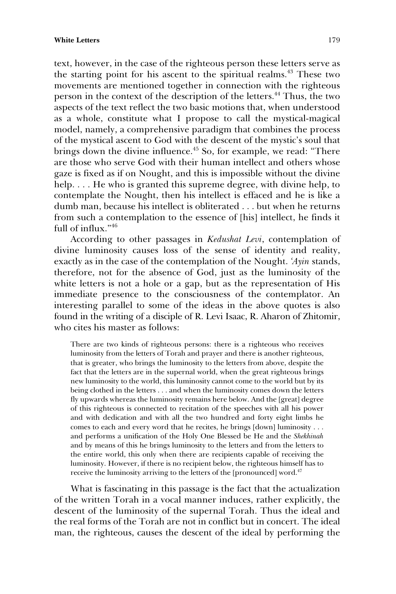text, however, in the case of the righteous person these letters serve as the starting point for his ascent to the spiritual realms.<sup>43</sup> These two movements are mentioned together in connection with the righteous person in the context of the description of the letters.44 Thus, the two aspects of the text reflect the two basic motions that, when understood as a whole, constitute what I propose to call the mystical-magical model, namely, a comprehensive paradigm that combines the process of the mystical ascent to God with the descent of the mystic's soul that brings down the divine influence.<sup>45</sup> So, for example, we read: "There are those who serve God with their human intellect and others whose gaze is fixed as if on Nought, and this is impossible without the divine help.... He who is granted this supreme degree, with divine help, to contemplate the Nought, then his intellect is effaced and he is like a dumb man, because his intellect is obliterated . . . but when he returns from such a contemplation to the essence of [his] intellect, he finds it full of influx."<sup>46</sup>

According to other passages in *Kedushat Levi*, contemplation of divine luminosity causes loss of the sense of identity and reality, exactly as in the case of the contemplation of the Nought. *'Ayin* stands, therefore, not for the absence of God, just as the luminosity of the white letters is not a hole or a gap, but as the representation of His immediate presence to the consciousness of the contemplator. An interesting parallel to some of the ideas in the above quotes is also found in the writing of a disciple of R. Levi Isaac, R. Aharon of Zhitomir, who cites his master as follows:

There are two kinds of righteous persons: there is a righteous who receives luminosity from the letters of Torah and prayer and there is another righteous, that is greater, who brings the luminosity to the letters from above, despite the fact that the letters are in the supernal world, when the great righteous brings new luminosity to the world, this luminosity cannot come to the world but by its being clothed in the letters . . . and when the luminosity comes down the letters fly upwards whereas the luminosity remains here below. And the [great] degree of this righteous is connected to recitation of the speeches with all his power and with dedication and with all the two hundred and forty eight limbs he comes to each and every word that he recites, he brings [down] luminosity . . . and performs a unification of the Holy One Blessed be He and the *Shekhinah* and by means of this he brings luminosity to the letters and from the letters to the entire world, this only when there are recipients capable of receiving the luminosity. However, if there is no recipient below, the righteous himself has to receive the luminosity arriving to the letters of the [pronounced] word.47

What is fascinating in this passage is the fact that the actualization of the written Torah in a vocal manner induces, rather explicitly, the descent of the luminosity of the supernal Torah. Thus the ideal and the real forms of the Torah are not in conflict but in concert. The ideal man, the righteous, causes the descent of the ideal by performing the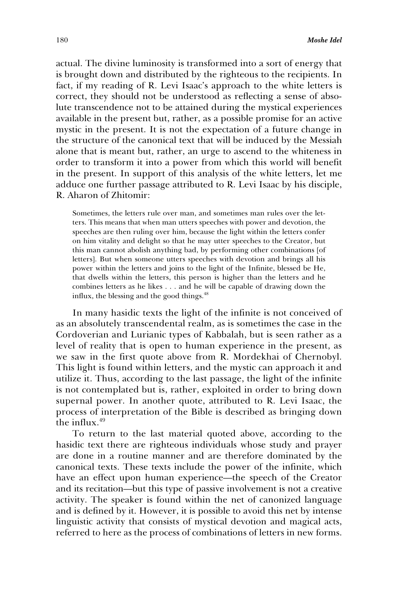actual. The divine luminosity is transformed into a sort of energy that is brought down and distributed by the righteous to the recipients. In fact, if my reading of R. Levi Isaac's approach to the white letters is correct, they should not be understood as reflecting a sense of absolute transcendence not to be attained during the mystical experiences available in the present but, rather, as a possible promise for an active mystic in the present. It is not the expectation of a future change in the structure of the canonical text that will be induced by the Messiah alone that is meant but, rather, an urge to ascend to the whiteness in order to transform it into a power from which this world will benefit in the present. In support of this analysis of the white letters, let me adduce one further passage attributed to R. Levi Isaac by his disciple, R. Aharon of Zhitomir:

Sometimes, the letters rule over man, and sometimes man rules over the letters. This means that when man utters speeches with power and devotion, the speeches are then ruling over him, because the light within the letters confer on him vitality and delight so that he may utter speeches to the Creator, but this man cannot abolish anything bad, by performing other combinations [of letters]. But when someone utters speeches with devotion and brings all his power within the letters and joins to the light of the Infinite, blessed be He, that dwells within the letters, this person is higher than the letters and he combines letters as he likes . . . and he will be capable of drawing down the influx, the blessing and the good things.<sup>48</sup>

In many hasidic texts the light of the infinite is not conceived of as an absolutely transcendental realm, as is sometimes the case in the Cordoverian and Lurianic types of Kabbalah, but is seen rather as a level of reality that is open to human experience in the present, as we saw in the first quote above from R. Mordekhai of Chernobyl. This light is found within letters, and the mystic can approach it and utilize it. Thus, according to the last passage, the light of the infinite is not contemplated but is, rather, exploited in order to bring down supernal power. In another quote, attributed to R. Levi Isaac, the process of interpretation of the Bible is described as bringing down the influx.<sup>49</sup>

To return to the last material quoted above, according to the hasidic text there are righteous individuals whose study and prayer are done in a routine manner and are therefore dominated by the canonical texts. These texts include the power of the infinite, which have an effect upon human experience—the speech of the Creator and its recitation—but this type of passive involvement is not a creative activity. The speaker is found within the net of canonized language and is defined by it. However, it is possible to avoid this net by intense linguistic activity that consists of mystical devotion and magical acts, referred to here as the process of combinations of letters in new forms.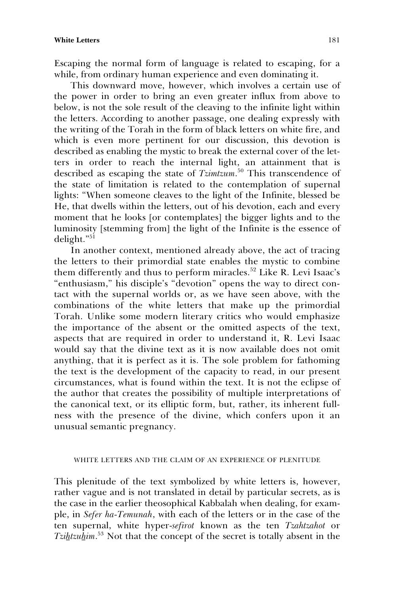Escaping the normal form of language is related to escaping, for a while, from ordinary human experience and even dominating it.

This downward move, however, which involves a certain use of the power in order to bring an even greater influx from above to below, is not the sole result of the cleaving to the infinite light within the letters. According to another passage, one dealing expressly with the writing of the Torah in the form of black letters on white fire, and which is even more pertinent for our discussion, this devotion is described as enabling the mystic to break the external cover of the letters in order to reach the internal light, an attainment that is described as escaping the state of *Tzimtzum*. 50 This transcendence of the state of limitation is related to the contemplation of supernal lights: "When someone cleaves to the light of the Infinite, blessed be He, that dwells within the letters, out of his devotion, each and every moment that he looks [or contemplates] the bigger lights and to the luminosity [stemming from] the light of the Infinite is the essence of delight."51

In another context, mentioned already above, the act of tracing the letters to their primordial state enables the mystic to combine them differently and thus to perform miracles.<sup>52</sup> Like R. Levi Isaac's "enthusiasm," his disciple's "devotion" opens the way to direct contact with the supernal worlds or, as we have seen above, with the combinations of the white letters that make up the primordial Torah. Unlike some modern literary critics who would emphasize the importance of the absent or the omitted aspects of the text, aspects that are required in order to understand it, R. Levi Isaac would say that the divine text as it is now available does not omit anything, that it is perfect as it is. The sole problem for fathoming the text is the development of the capacity to read, in our present circumstances, what is found within the text. It is not the eclipse of the author that creates the possibility of multiple interpretations of the canonical text, or its elliptic form, but, rather, its inherent fullness with the presence of the divine, which confers upon it an unusual semantic pregnancy.

#### WHITE LETTERS AND THE CLAIM OF AN EXPERIENCE OF PLENITUDE

This plenitude of the text symbolized by white letters is, however, rather vague and is not translated in detail by particular secrets, as is the case in the earlier theosophical Kabbalah when dealing, for example, in *Sefer ha-Temunah*, with each of the letters or in the case of the ten supernal, white hyper-*sefirot* known as the ten *Tzahtzahot* or *Tzi3tzu3im*. 53 Not that the concept of the secret is totally absent in the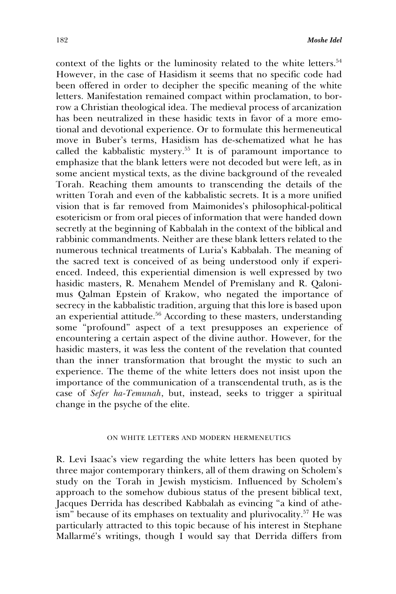context of the lights or the luminosity related to the white letters.<sup>54</sup> However, in the case of Hasidism it seems that no specific code had been offered in order to decipher the specific meaning of the white letters. Manifestation remained compact within proclamation, to borrow a Christian theological idea. The medieval process of arcanization has been neutralized in these hasidic texts in favor of a more emotional and devotional experience. Or to formulate this hermeneutical move in Buber's terms, Hasidism has de-schematized what he has called the kabbalistic mystery.55 It is of paramount importance to emphasize that the blank letters were not decoded but were left, as in some ancient mystical texts, as the divine background of the revealed Torah. Reaching them amounts to transcending the details of the written Torah and even of the kabbalistic secrets. It is a more unified vision that is far removed from Maimonides's philosophical-political esotericism or from oral pieces of information that were handed down secretly at the beginning of Kabbalah in the context of the biblical and rabbinic commandments. Neither are these blank letters related to the numerous technical treatments of Luria's Kabbalah. The meaning of the sacred text is conceived of as being understood only if experienced. Indeed, this experiential dimension is well expressed by two hasidic masters, R. Menahem Mendel of Premislany and R. Qalonimus Qalman Epstein of Krakow, who negated the importance of secrecy in the kabbalistic tradition, arguing that this lore is based upon an experiential attitude.<sup>56</sup> According to these masters, understanding some "profound" aspect of a text presupposes an experience of encountering a certain aspect of the divine author. However, for the hasidic masters, it was less the content of the revelation that counted than the inner transformation that brought the mystic to such an experience. The theme of the white letters does not insist upon the importance of the communication of a transcendental truth, as is the case of *Sefer ha-Temunah*, but, instead, seeks to trigger a spiritual change in the psyche of the elite.

#### ON WHITE LETTERS AND MODERN HERMENEUTICS

R. Levi Isaac's view regarding the white letters has been quoted by three major contemporary thinkers, all of them drawing on Scholem's study on the Torah in Jewish mysticism. Influenced by Scholem's approach to the somehow dubious status of the present biblical text, Jacques Derrida has described Kabbalah as evincing "a kind of atheism" because of its emphases on textuality and plurivocality.<sup>57</sup> He was particularly attracted to this topic because of his interest in Stephane Mallarmé's writings, though I would say that Derrida differs from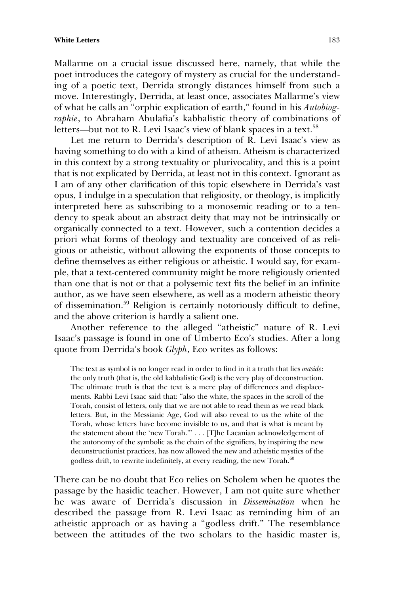Mallarme on a crucial issue discussed here, namely, that while the poet introduces the category of mystery as crucial for the understanding of a poetic text, Derrida strongly distances himself from such a move. Interestingly, Derrida, at least once, associates Mallarme's view of what he calls an "orphic explication of earth," found in his *Autobiographie*, to Abraham Abulafia's kabbalistic theory of combinations of letters—but not to R. Levi Isaac's view of blank spaces in a text.<sup>58</sup>

Let me return to Derrida's description of R. Levi Isaac's view as having something to do with a kind of atheism. Atheism is characterized in this context by a strong textuality or plurivocality, and this is a point that is not explicated by Derrida, at least not in this context. Ignorant as I am of any other clarification of this topic elsewhere in Derrida's vast opus, I indulge in a speculation that religiosity, or theology, is implicitly interpreted here as subscribing to a monosemic reading or to a tendency to speak about an abstract deity that may not be intrinsically or organically connected to a text. However, such a contention decides a priori what forms of theology and textuality are conceived of as religious or atheistic, without allowing the exponents of those concepts to define themselves as either religious or atheistic. I would say, for example, that a text-centered community might be more religiously oriented than one that is not or that a polysemic text fits the belief in an infinite author, as we have seen elsewhere, as well as a modern atheistic theory of dissemination.59 Religion is certainly notoriously difficult to define, and the above criterion is hardly a salient one.

Another reference to the alleged "atheistic" nature of R. Levi Isaac's passage is found in one of Umberto Eco's studies. After a long quote from Derrida's book *Glyph*, Eco writes as follows:

The text as symbol is no longer read in order to find in it a truth that lies *outside*: the only truth (that is, the old kabbalistic God) is the very play of deconstruction. The ultimate truth is that the text is a mere play of differences and displacements. Rabbi Levi Isaac said that: "also the white, the spaces in the scroll of the Torah, consist of letters, only that we are not able to read them as we read black letters. But, in the Messianic Age, God will also reveal to us the white of the Torah, whose letters have become invisible to us, and that is what is meant by the statement about the 'new Torah.'" . . . [T]he Lacanian acknowledgement of the autonomy of the symbolic as the chain of the signifiers, by inspiring the new deconstructionist practices, has now allowed the new and atheistic mystics of the godless drift, to rewrite indefinitely, at every reading, the new Torah.<sup>60</sup>

There can be no doubt that Eco relies on Scholem when he quotes the passage by the hasidic teacher. However, I am not quite sure whether he was aware of Derrida's discussion in *Dissemination* when he described the passage from R. Levi Isaac as reminding him of an atheistic approach or as having a "godless drift." The resemblance between the attitudes of the two scholars to the hasidic master is,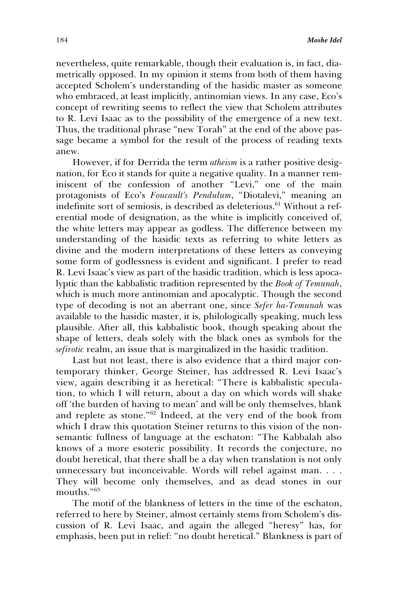nevertheless, quite remarkable, though their evaluation is, in fact, diametrically opposed. In my opinion it stems from both of them having accepted Scholem's understanding of the hasidic master as someone who embraced, at least implicitly, antinomian views. In any case, Eco's concept of rewriting seems to reflect the view that Scholem attributes to R. Levi Isaac as to the possibility of the emergence of a new text. Thus, the traditional phrase "new Torah" at the end of the above passage became a symbol for the result of the process of reading texts anew.

However, if for Derrida the term *atheism* is a rather positive designation, for Eco it stands for quite a negative quality. In a manner reminiscent of the confession of another "Levi," one of the main protagonists of Eco's *Foucault's Pendulum*, "Diotalevi," meaning an indefinite sort of semiosis, is described as deleterious.<sup>61</sup> Without a referential mode of designation, as the white is implicitly conceived of, the white letters may appear as godless. The difference between my understanding of the hasidic texts as referring to white letters as divine and the modern interpretations of these letters as conveying some form of godlessness is evident and significant. I prefer to read R. Levi Isaac's view as part of the hasidic tradition, which is less apocalyptic than the kabbalistic tradition represented by the *Book of Temunah*, which is much more antinomian and apocalyptic. Though the second type of decoding is not an aberrant one, since *Sefer ha-Temunah* was available to the hasidic master, it is, philologically speaking, much less plausible. After all, this kabbalistic book, though speaking about the shape of letters, deals solely with the black ones as symbols for the *sefirotic* realm, an issue that is marginalized in the hasidic tradition.

Last but not least, there is also evidence that a third major contemporary thinker, George Steiner, has addressed R. Levi Isaac's view, again describing it as heretical: "There is kabbalistic speculation, to which I will return, about a day on which words will shake off 'the burden of having to mean' and will be only themselves, blank and replete as stone."62 Indeed, at the very end of the book from which I draw this quotation Steiner returns to this vision of the nonsemantic fullness of language at the eschaton: "The Kabbalah also knows of a more esoteric possibility. It records the conjecture, no doubt heretical, that there shall be a day when translation is not only unnecessary but inconceivable. Words will rebel against man. . . . They will become only themselves, and as dead stones in our mouths<sup>"63</sup>

The motif of the blankness of letters in the time of the eschaton, referred to here by Steiner, almost certainly stems from Scholem's discussion of R. Levi Isaac, and again the alleged "heresy" has, for emphasis, been put in relief: "no doubt heretical." Blankness is part of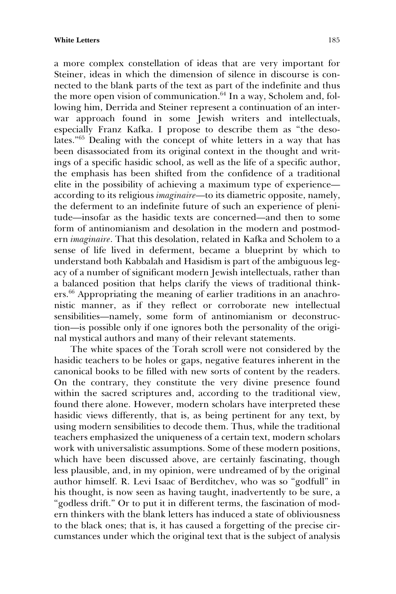a more complex constellation of ideas that are very important for Steiner, ideas in which the dimension of silence in discourse is connected to the blank parts of the text as part of the indefinite and thus the more open vision of communication.<sup>64</sup> In a way, Scholem and, following him, Derrida and Steiner represent a continuation of an interwar approach found in some Jewish writers and intellectuals, especially Franz Kafka. I propose to describe them as "the desolates."65 Dealing with the concept of white letters in a way that has been disassociated from its original context in the thought and writings of a specific hasidic school, as well as the life of a specific author, the emphasis has been shifted from the confidence of a traditional elite in the possibility of achieving a maximum type of experience according to its religious *imaginaire*—to its diametric opposite, namely, the deferment to an indefinite future of such an experience of plenitude—insofar as the hasidic texts are concerned—and then to some form of antinomianism and desolation in the modern and postmodern *imaginaire*. That this desolation, related in Kafka and Scholem to a sense of life lived in deferment, became a blueprint by which to understand both Kabbalah and Hasidism is part of the ambiguous legacy of a number of significant modern Jewish intellectuals, rather than a balanced position that helps clarify the views of traditional thinkers.66 Appropriating the meaning of earlier traditions in an anachronistic manner, as if they reflect or corroborate new intellectual sensibilities—namely, some form of antinomianism or deconstruction—is possible only if one ignores both the personality of the original mystical authors and many of their relevant statements.

The white spaces of the Torah scroll were not considered by the hasidic teachers to be holes or gaps, negative features inherent in the canonical books to be filled with new sorts of content by the readers. On the contrary, they constitute the very divine presence found within the sacred scriptures and, according to the traditional view, found there alone. However, modern scholars have interpreted these hasidic views differently, that is, as being pertinent for any text, by using modern sensibilities to decode them. Thus, while the traditional teachers emphasized the uniqueness of a certain text, modern scholars work with universalistic assumptions. Some of these modern positions, which have been discussed above, are certainly fascinating, though less plausible, and, in my opinion, were undreamed of by the original author himself. R. Levi Isaac of Berditchev, who was so "godfull" in his thought, is now seen as having taught, inadvertently to be sure, a "godless drift." Or to put it in different terms, the fascination of modern thinkers with the blank letters has induced a state of obliviousness to the black ones; that is, it has caused a forgetting of the precise circumstances under which the original text that is the subject of analysis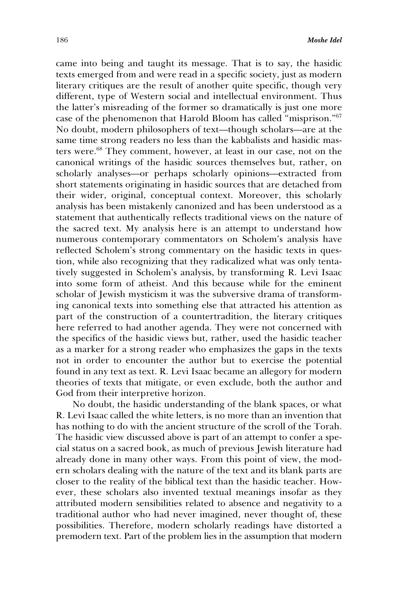came into being and taught its message. That is to say, the hasidic texts emerged from and were read in a specific society, just as modern literary critiques are the result of another quite specific, though very different, type of Western social and intellectual environment. Thus the latter's misreading of the former so dramatically is just one more case of the phenomenon that Harold Bloom has called "misprison."67 No doubt, modern philosophers of text—though scholars—are at the same time strong readers no less than the kabbalists and hasidic masters were.<sup>68</sup> They comment, however, at least in our case, not on the canonical writings of the hasidic sources themselves but, rather, on scholarly analyses—or perhaps scholarly opinions—extracted from short statements originating in hasidic sources that are detached from their wider, original, conceptual context. Moreover, this scholarly analysis has been mistakenly canonized and has been understood as a statement that authentically reflects traditional views on the nature of the sacred text. My analysis here is an attempt to understand how numerous contemporary commentators on Scholem's analysis have reflected Scholem's strong commentary on the hasidic texts in question, while also recognizing that they radicalized what was only tentatively suggested in Scholem's analysis, by transforming R. Levi Isaac into some form of atheist. And this because while for the eminent scholar of Jewish mysticism it was the subversive drama of transforming canonical texts into something else that attracted his attention as part of the construction of a countertradition, the literary critiques here referred to had another agenda. They were not concerned with the specifics of the hasidic views but, rather, used the hasidic teacher as a marker for a strong reader who emphasizes the gaps in the texts not in order to encounter the author but to exercise the potential found in any text as text. R. Levi Isaac became an allegory for modern theories of texts that mitigate, or even exclude, both the author and God from their interpretive horizon.

No doubt, the hasidic understanding of the blank spaces, or what R. Levi Isaac called the white letters, is no more than an invention that has nothing to do with the ancient structure of the scroll of the Torah. The hasidic view discussed above is part of an attempt to confer a special status on a sacred book, as much of previous Jewish literature had already done in many other ways. From this point of view, the modern scholars dealing with the nature of the text and its blank parts are closer to the reality of the biblical text than the hasidic teacher. However, these scholars also invented textual meanings insofar as they attributed modern sensibilities related to absence and negativity to a traditional author who had never imagined, never thought of, these possibilities. Therefore, modern scholarly readings have distorted a premodern text. Part of the problem lies in the assumption that modern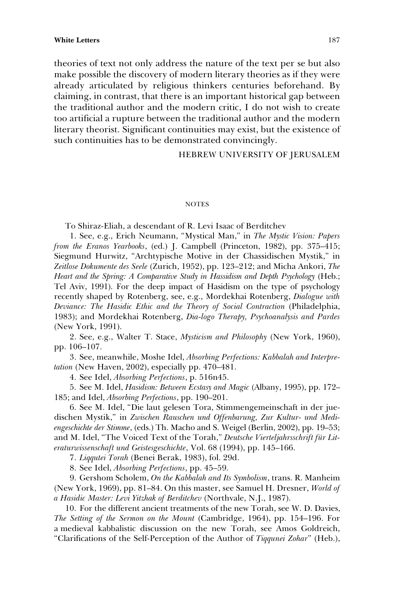theories of text not only address the nature of the text per se but also make possible the discovery of modern literary theories as if they were already articulated by religious thinkers centuries beforehand. By claiming, in contrast, that there is an important historical gap between the traditional author and the modern critic, I do not wish to create too artificial a rupture between the traditional author and the modern literary theorist. Significant continuities may exist, but the existence of such continuities has to be demonstrated convincingly.

### HEBREW UNIVERSITY OF JERUSALEM

#### **NOTES**

To Shiraz-Eliah, a descendant of R. Levi Isaac of Berditchev

1. See, e.g., Erich Neumann, "Mystical Man," in *The Mystic Vision: Papers from the Eranos Yearbooks*, (ed.) J. Campbell (Princeton, 1982), pp. 375–415; Siegmund Hurwitz, "Archtypische Motive in der Chassidischen Mystik," in *Zeitlose Dokumente des Seele* (Zurich, 1952), pp. 123–212; and Micha Ankori, *The Heart and the Spring: A Comparative Study in Hassidism and Depth Psychology* (Heb.; Tel Aviv, 1991). For the deep impact of Hasidism on the type of psychology recently shaped by Rotenberg, see, e.g., Mordekhai Rotenberg, *Dialogue with Deviance: The Hasidic Ethic and the Theory of Social Contraction* (Philadelphia, 1983); and Mordekhai Rotenberg, *Dia-logo Therapy, Psychoanalysis and Pardes* (New York, 1991).

2. See, e.g., Walter T. Stace, *Mysticism and Philosophy* (New York, 1960), pp. 106–107.

3. See, meanwhile, Moshe Idel, *Absorbing Perfections: Kabbalah and Interpretation* (New Haven, 2002), especially pp. 470–481.

4. See Idel, *Absorbing Perfections*, p. 516n45.

5. See M. Idel, *Hasidism: Between Ecstasy and Magic* (Albany, 1995), pp. 172– 185; and Idel, *Absorbing Perfections*, pp. 190–201.

6. See M. Idel, "Die laut gelesen Tora, Stimmengemeinschaft in der juedischen Mystik," in *Zwischen Rauschen und Offenbarung, Zur Kultur- und Mediengeschichte der Stimme*, (eds.) Th. Macho and S. Weigel (Berlin, 2002), pp. 19–53; and M. Idel, "The Voiced Text of the Torah," *Deutsche Vierteljahrsschrift für Literaturwissenschaft und Geistesgeschichte*, Vol. 68 (1994), pp. 145–166.

7. *Liqqutei Torah* (Benei Berak, 1983), fol. 29d.

8. See Idel, *Absorbing Perfections*, pp. 45–59.

9. Gershom Scholem, *On the Kabbalah and Its Symbolism*, trans. R. Manheim (New York, 1969), pp. 81–84. On this master, see Samuel H. Dresner, *World of a Hasidic Master: Levi Yitzhak of Berditchev* (Northvale, N.J., 1987).

10. For the different ancient treatments of the new Torah, see W. D. Davies, *The Setting of the Sermon on the Mount* (Cambridge, 1964), pp. 154–196. For a medieval kabbalistic discussion on the new Torah, see Amos Goldreich, "Clarifications of the Self-Perception of the Author of *Tiqqunei Zohar*" (Heb.),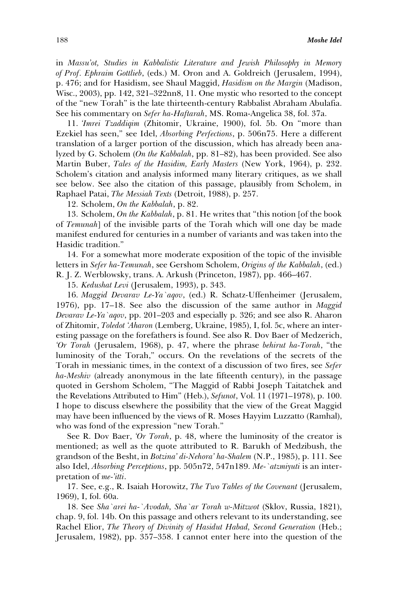in *Massu'ot, Studies in Kabbalistic Literature and Jewish Philosophy in Memory of Prof. Ephraim Gottlieb*, (eds.) M. Oron and A. Goldreich (Jerusalem, 1994), p. 476; and for Hasidism, see Shaul Maggid, *Hasidism on the Margin* (Madison, Wisc., 2003), pp. 142, 321–322nn8, 11. One mystic who resorted to the concept of the "new Torah" is the late thirteenth-century Rabbalist Abraham Abulafia. See his commentary on *Sefer ha-Haftarah*, MS. Roma-Angelica 38, fol. 37a.

11. *'Imrei Tzaddiqim* (Zhitomir, Ukraine, 1900), fol. 5b. On "more than Ezekiel has seen," see Idel, *Absorbing Perfections*, p. 506n75. Here a different translation of a larger portion of the discussion, which has already been analyzed by G. Scholem (*On the Kabbalah*, pp. 81–82), has been provided. See also Martin Buber, *Tales of the Hasidim, Early Masters* (New York, 1964), p. 232. Scholem's citation and analysis informed many literary critiques, as we shall see below. See also the citation of this passage, plausibly from Scholem, in Raphael Patai, *The Messiah Texts* (Detroit, 1988), p. 257.

12. Scholem, *On the Kabbalah*, p. 82.

13. Scholem, *On the Kabbalah*, p. 81. He writes that "this notion [of the book of *Temunah*] of the invisible parts of the Torah which will one day be made manifest endured for centuries in a number of variants and was taken into the Hasidic tradition."

14. For a somewhat more moderate exposition of the topic of the invisible letters in *Sefer ha-Temunah*, see Gershom Scholem, *Origins of the Kabbalah*, (ed.) R. J. Z. Werblowsky, trans. A. Arkush (Princeton, 1987), pp. 466–467.

15. *Kedushat Levi* (Jerusalem, 1993), p. 343.

16. *Maggid Devarav Le-Ya`aqov*, (ed.) R. Schatz-Uffenheimer (Jerusalem, 1976), pp. 17–18. See also the discussion of the same author in *Maggid Devarav Le-Ya`aqov*, pp. 201–203 and especially p. 326; and see also R. Aharon of Zhitomir, *Toledot 'Aharon* (Lemberg, Ukraine, 1985), I, fol. 5c, where an interesting passage on the forefathers is found. See also R. Dov Baer of Medzerich, *'Or Torah* (Jerusalem, 1968), p. 47, where the phrase *behirut ha-Torah*, "the luminosity of the Torah," occurs. On the revelations of the secrets of the Torah in messianic times, in the context of a discussion of two fires, see *Sefer ha-Meshiv* (already anonymous in the late fifteenth century), in the passage quoted in Gershom Scholem, "The Maggid of Rabbi Joseph Taitatchek and the Revelations Attributed to Him" (Heb.), *Sefunot*, Vol. 11 (1971–1978), p. 100. I hope to discuss elsewhere the possibility that the view of the Great Maggid may have been influenced by the views of R. Moses Hayyim Luzzatto (Ramhal), who was fond of the expression "new Torah."

See R. Dov Baer, *'Or Torah*, p. 48, where the luminosity of the creator is mentioned; as well as the quote attributed to R. Barukh of Medzibush, the grandson of the Besht, in *Botzina' di-Nehora' ha-Shalem* (N.P., 1985), p. 111. See also Idel, *Absorbing Perceptions*, pp. 505n72, 547n189. *Me-`atzmiyuti* is an interpretation of *me-'itti*.

17. See, e.g., R. Isaiah Horowitz, *The Two Tables of the Covenant* (Jerusalem, 1969), I, fol. 60a.

18. See *Sha`arei ha-`Avodah, Sha`ar Torah w-Mitzwot* (Sklov, Russia, 1821), chap. 9, fol. 14b. On this passage and others relevant to its understanding, see Rachel Elior, *The Theory of Divinity of Hasidut Habad, Second Generation* (Heb.; Jerusalem, 1982), pp. 357–358. I cannot enter here into the question of the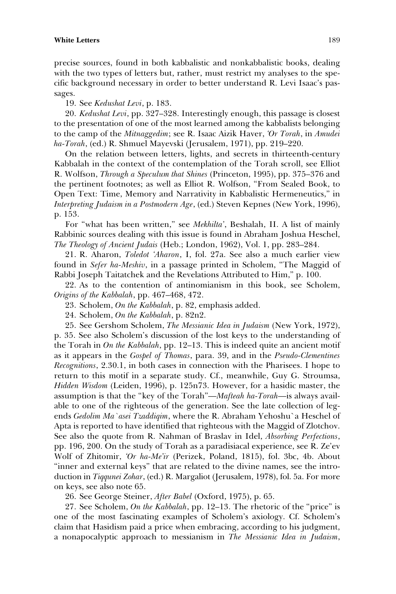precise sources, found in both kabbalistic and nonkabbalistic books, dealing with the two types of letters but, rather, must restrict my analyses to the specific background necessary in order to better understand R. Levi Isaac's passages.

19. See *Kedushat Levi*, p. 183.

20. *Kedushat Levi*, pp. 327–328. Interestingly enough, this passage is closest to the presentation of one of the most learned among the kabbalists belonging to the camp of the *Mitnaggedim*; see R. Isaac Aizik Haver, *'Or Torah*, in *Amudei ha-Torah*, (ed.) R. Shmuel Mayevski (Jerusalem, 1971), pp. 219–220.

On the relation between letters, lights, and secrets in thirteenth-century Kabbalah in the context of the contemplation of the Torah scroll, see Elliot R. Wolfson, *Through a Speculum that Shines* (Princeton, 1995), pp. 375–376 and the pertinent footnotes; as well as Elliot R. Wolfson, "From Sealed Book, to Open Text: Time, Memory and Narrativity in Kabbalistic Hermeneutics," in *Interpreting Judaism in a Postmodern Age*, (ed.) Steven Kepnes (New York, 1996), p. 153.

For "what has been written," see *Mekhilta'*, Beshalah, II. A list of mainly Rabbinic sources dealing with this issue is found in Abraham Joshua Heschel, *The Theology of Ancient Judais* (Heb.; London, 1962), Vol. 1, pp. 283–284.

21. R. Aharon, *Toledot 'Aharon*, I, fol. 27a. See also a much earlier view found in *Sefer ha-Meshiv*, in a passage printed in Scholem, "The Maggid of Rabbi Joseph Taitatchek and the Revelations Attributed to Him," p. 100.

22. As to the contention of antinomianism in this book, see Scholem, *Origins of the Kabbalah*, pp. 467–468, 472.

23. Scholem, *On the Kabbalah*, p. 82, emphasis added.

24. Scholem, *On the Kabbalah*, p. 82n2.

25. See Gershom Scholem, *The Messianic Idea in Judaism* (New York, 1972),

p. 35. See also Scholem's discussion of the lost keys to the understanding of the Torah in *On the Kabbalah*, pp. 12–13. This is indeed quite an ancient motif as it appears in the *Gospel of Thomas*, para. 39, and in the *Pseudo-Clementines Recognitions*, 2.30.1, in both cases in connection with the Pharisees. I hope to return to this motif in a separate study. Cf., meanwhile, Guy G. Stroumsa, *Hidden Wisdom* (Leiden, 1996), p. 125n73. However, for a hasidic master, the assumption is that the "key of the Torah"—*Mafteah ha-Torah*—is always available to one of the righteous of the generation. See the late collection of legends *Gedolim Ma`asei Tzaddiqim*, where the R. Abraham Yehoshu`a Heschel of Apta is reported to have identified that righteous with the Maggid of Zlotchov. See also the quote from R. Nahman of Braslav in Idel, *Absorbing Perfections*, pp. 196, 200. On the study of Torah as a paradisiacal experience, see R. Ze'ev Wolf of Zhitomir, *'Or ha-Me'ir* (Perizek, Poland, 1815), fol. 3bc, 4b. About "inner and external keys" that are related to the divine names, see the introduction in *Tiqqunei Zohar*, (ed.) R. Margaliot (Jerusalem, 1978), fol. 5a. For more on keys, see also note 65.

26. See George Steiner, *After Babel* (Oxford, 1975), p. 65.

27. See Scholem, *On the Kabbalah*, pp. 12–13. The rhetoric of the "price" is one of the most fascinating examples of Scholem's axiology. Cf. Scholem's claim that Hasidism paid a price when embracing, according to his judgment, a nonapocalyptic approach to messianism in *The Messianic Idea in Judaism*,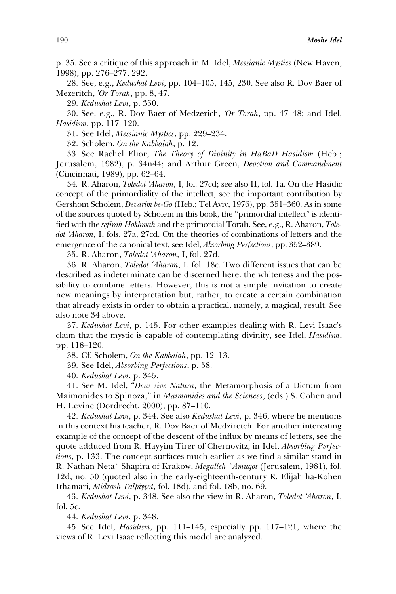p. 35. See a critique of this approach in M. Idel, *Messianic Mystics* (New Haven, 1998), pp. 276–277, 292.

28. See, e.g., *Kedushat Levi*, pp. 104–105, 145, 230. See also R. Dov Baer of Mezeritch, *'Or Torah*, pp. 8, 47.

29. *Kedushat Levi*, p. 350.

30. See, e.g., R. Dov Baer of Medzerich, *'Or Torah*, pp. 47–48; and Idel, *Hasidism*, pp. 117–120.

31. See Idel, *Messianic Mystics*, pp. 229–234.

32. Scholem, *On the Kabbalah*, p. 12.

33. See Rachel Elior, *The Theory of Divinity in HaBaD Hasidism* (Heb.; Jerusalem, 1982), p. 34n44; and Arthur Green, *Devotion and Commandment* (Cincinnati, 1989), pp. 62–64.

34. R. Aharon, *Toledot 'Aharon*, I, fol. 27cd; see also II, fol. 1a. On the Hasidic concept of the primordiality of the intellect, see the important contribution by Gershom Scholem, *Devarim be-Go* (Heb.; Tel Aviv, 1976), pp. 351–360. As in some of the sources quoted by Scholem in this book, the "primordial intellect" is identified with the *sefirah Hokhmah* and the primordial Torah. See, e.g., R. Aharon, *Toledot 'Aharon*, I, fols. 27a, 27cd. On the theories of combinations of letters and the emergence of the canonical text, see Idel, *Absorbing Perfections*, pp. 352–389.

35. R. Aharon, *Toledot 'Aharon*, I, fol. 27d.

36. R. Aharon, *Toledot 'Aharon*, I, fol. 18c. Two different issues that can be described as indeterminate can be discerned here: the whiteness and the possibility to combine letters. However, this is not a simple invitation to create new meanings by interpretation but, rather, to create a certain combination that already exists in order to obtain a practical, namely, a magical, result. See also note 34 above.

37. *Kedushat Levi*, p. 145. For other examples dealing with R. Levi Isaac's claim that the mystic is capable of contemplating divinity, see Idel, *Hasidism*, pp. 118–120.

38. Cf. Scholem, *On the Kabbalah*, pp. 12–13.

39. See Idel, *Absorbing Perfections*, p. 58.

40. *Kedushat Levi*, p. 345.

41. See M. Idel, "*Deus sive Natura*, the Metamorphosis of a Dictum from Maimonides to Spinoza," in *Maimonides and the Sciences*, (eds.) S. Cohen and H. Levine (Dordrecht, 2000), pp. 87–110.

42. *Kedushat Levi*, p. 344. See also *Kedushat Levi*, p. 346, where he mentions in this context his teacher, R. Dov Baer of Medziretch. For another interesting example of the concept of the descent of the influx by means of letters, see the quote adduced from R. Hayyim Tirer of Chernovitz, in Idel, *Absorbing Perfections*, p. 133. The concept surfaces much earlier as we find a similar stand in R. Nathan Neta` Shapira of Krakow, *Megalleh `Amuqot* (Jerusalem, 1981), fol. 12d, no. 50 (quoted also in the early-eighteenth-century R. Elijah ha-Kohen Ithamari, *Midrash Talpiyyot*, fol. 18d), and fol. 18b, no. 69.

43. *Kedushat Levi*, p. 348. See also the view in R. Aharon, *Toledot 'Aharon*, I, fol. 5c.

44. *Kedushat Levi*, p. 348.

45. See Idel, *Hasidism*, pp. 111–145, especially pp. 117–121, where the views of R. Levi Isaac reflecting this model are analyzed.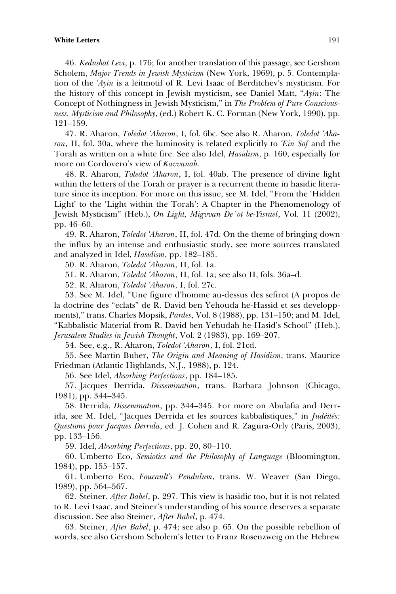46. *Kedushat Levi*, p. 176; for another translation of this passage, see Gershom Scholem, *Major Trends in Jewish Mysticism* (New York, 1969), p. 5. Contemplation of the *'Ayin* is a leitmotif of R. Levi Isaac of Berditchev's mysticism. For the history of this concept in Jewish mysticism, see Daniel Matt, "*Ayin*: The Concept of Nothingness in Jewish Mysticism," in *The Problem of Pure Consciousness, Mysticism and Philosophy*, (ed.) Robert K. C. Forman (New York, 1990), pp. 121–159.

47. R. Aharon, *Toledot 'Aharon*, I, fol. 6bc. See also R. Aharon, *Toledot 'Aharon*, II, fol. 30a, where the luminosity is related explicitly to *'Ein Sof* and the Torah as written on a white fire. See also Idel, *Hasidism*, p. 160, especially for more on Cordovero's view of *Kavvanah*.

48. R. Aharon, *Toledot 'Aharon*, I, fol. 40ab. The presence of divine light within the letters of the Torah or prayer is a recurrent theme in hasidic literature since its inception. For more on this issue, see M. Idel, "From the 'Hidden Light' to the 'Light within the Torah': A Chapter in the Phenomenology of Jewish Mysticism" (Heb.), *On Light, Migvvan De`ot be-Yisrael*, Vol. 11 (2002), pp. 46–60.

49. R. Aharon, *Toledot 'Aharon*, II, fol. 47d. On the theme of bringing down the influx by an intense and enthusiastic study, see more sources translated and analyzed in Idel, *Hasidism*, pp. 182–185.

50. R. Aharon, *Toledot 'Aharon*, II, fol. 1a.

51. R. Aharon, *Toledot 'Aharon*, II, fol. 1a; see also II, fols. 36a–d.

52. R. Aharon, *Toledot 'Aharon*, I, fol. 27c.

53. See M. Idel, "Une figure d'homme au-dessus des sefirot (A propos de la doctrine des "eclats" de R. David ben Yehouda he-Hassid et ses developpments)," trans. Charles Mopsik, *Pardes*, Vol. 8 (1988), pp. 131–150; and M. Idel, "Kabbalistic Material from R. David ben Yehudah he-Hasid's School" (Heb.), *Jerusalem Studies in Jewish Thought*, Vol. 2 (1983), pp. 169–207.

54. See, e.g., R. Aharon, *Toledot 'Aharon*, I, fol. 21cd.

55. See Martin Buber, *The Origin and Meaning of Hasidism*, trans. Maurice Friedman (Atlantic Highlands, N.J., 1988), p. 124.

56. See Idel, *Absorbing Perfections*, pp. 184–185.

57. Jacques Derrida, *Dissemination*, trans. Barbara Johnson (Chicago, 1981), pp. 344–345.

58. Derrida, *Dissemination*, pp. 344–345. For more on Abulafia and Derrida, see M. Idel, "Jacques Derrida et les sources kabbalistiques," in *Judéités: Questions pour Jacques Derrida*, ed. J. Cohen and R. Zagura-Orly (Paris, 2003), pp. 133–156.

59. Idel, *Absorbing Perfections*, pp. 20, 80–110.

60. Umberto Eco, *Semiotics and the Philosophy of Language* (Bloomington, 1984), pp. 155–157.

61. Umberto Eco, *Foucault's Pendulum*, trans. W. Weaver (San Diego, 1989), pp. 564–567.

62. Steiner, *After Babel*, p. 297. This view is hasidic too, but it is not related to R. Levi Isaac, and Steiner's understanding of his source deserves a separate discussion. See also Steiner, *After Babel*, p. 474.

63. Steiner, *After Babel*, p. 474; see also p. 65. On the possible rebellion of words, see also Gershom Scholem's letter to Franz Rosenzweig on the Hebrew